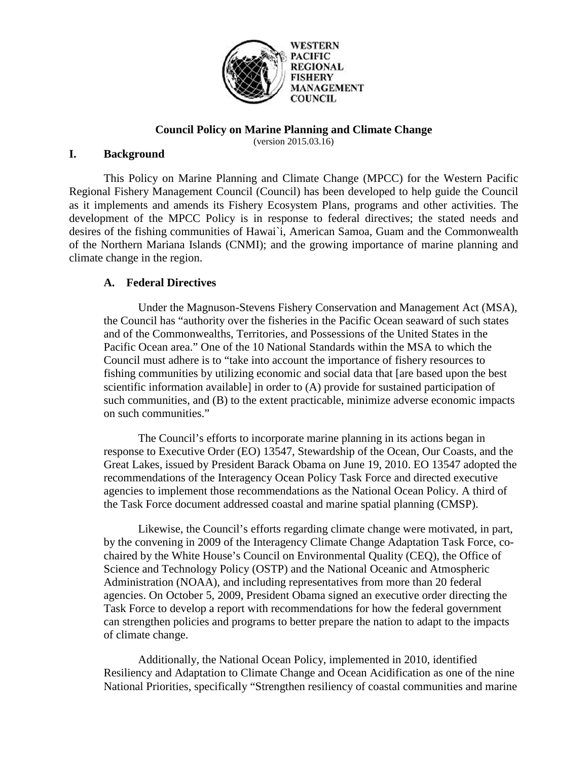

# **Council Policy on Marine Planning and Climate Change**

(version 2015.03.16)

# **I. Background**

This Policy on Marine Planning and Climate Change (MPCC) for the Western Pacific Regional Fishery Management Council (Council) has been developed to help guide the Council as it implements and amends its Fishery Ecosystem Plans, programs and other activities. The development of the MPCC Policy is in response to federal directives; the stated needs and desires of the fishing communities of Hawai`i, American Samoa, Guam and the Commonwealth of the Northern Mariana Islands (CNMI); and the growing importance of marine planning and climate change in the region.

# **A. Federal Directives**

 Under the Magnuson-Stevens Fishery Conservation and Management Act (MSA), the Council has "authority over the fisheries in the Pacific Ocean seaward of such states and of the Commonwealths, Territories, and Possessions of the United States in the Pacific Ocean area." One of the 10 National Standards within the MSA to which the Council must adhere is to "take into account the importance of fishery resources to fishing communities by utilizing economic and social data that [are based upon the best scientific information available] in order to (A) provide for sustained participation of such communities, and (B) to the extent practicable, minimize adverse economic impacts on such communities."

 The Council's efforts to incorporate marine planning in its actions began in response to Executive Order (EO) 13547, Stewardship of the Ocean, Our Coasts, and the Great Lakes, issued by President Barack Obama on June 19, 2010. EO 13547 adopted the recommendations of the Interagency Ocean Policy Task Force and directed executive agencies to implement those recommendations as the National Ocean Policy. A third of the Task Force document addressed coastal and marine spatial planning (CMSP).

 Likewise, the Council's efforts regarding climate change were motivated, in part, by the convening in 2009 of the Interagency Climate Change Adaptation Task Force, cochaired by the White House's Council on Environmental Quality (CEQ), the Office of Science and Technology Policy (OSTP) and the National Oceanic and Atmospheric Administration (NOAA), and including representatives from more than 20 federal agencies. On October 5, 2009, President Obama signed an executive order directing the Task Force to develop a report with recommendations for how the federal government can strengthen policies and programs to better prepare the nation to adapt to the impacts of climate change.

 Additionally, the National Ocean Policy, implemented in 2010, identified Resiliency and Adaptation to Climate Change and Ocean Acidification as one of the nine National Priorities, specifically "Strengthen resiliency of coastal communities and marine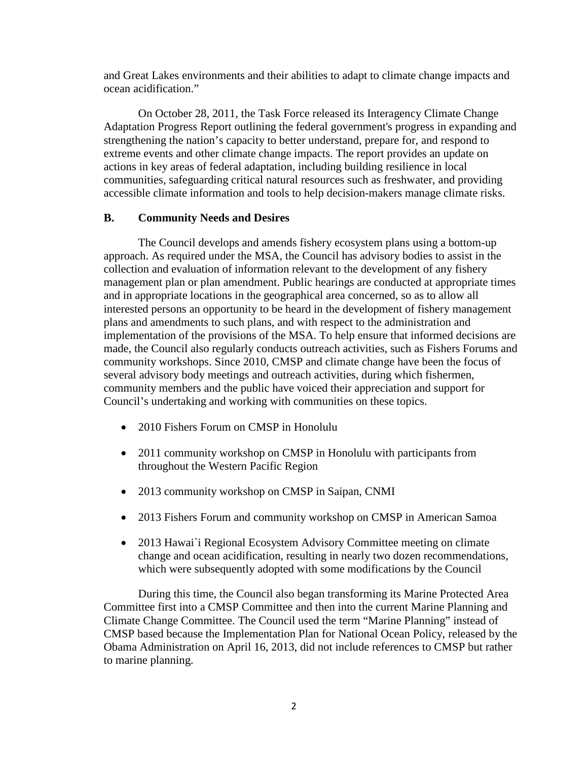and Great Lakes environments and their abilities to adapt to climate change impacts and ocean acidification."

 On October 28, 2011, the Task Force released its Interagency Climate Change Adaptation Progress Report outlining the federal government's progress in expanding and strengthening the nation's capacity to better understand, prepare for, and respond to extreme events and other climate change impacts. The report provides an update on actions in key areas of federal adaptation, including building resilience in local communities, safeguarding critical natural resources such as freshwater, and providing accessible climate information and tools to help decision-makers manage climate risks.

### **B. Community Needs and Desires**

 The Council develops and amends fishery ecosystem plans using a bottom-up approach. As required under the MSA, the Council has advisory bodies to assist in the collection and evaluation of information relevant to the development of any fishery management plan or plan amendment. Public hearings are conducted at appropriate times and in appropriate locations in the geographical area concerned, so as to allow all interested persons an opportunity to be heard in the development of fishery management plans and amendments to such plans, and with respect to the administration and implementation of the provisions of the MSA. To help ensure that informed decisions are made, the Council also regularly conducts outreach activities, such as Fishers Forums and community workshops. Since 2010, CMSP and climate change have been the focus of several advisory body meetings and outreach activities, during which fishermen, community members and the public have voiced their appreciation and support for Council's undertaking and working with communities on these topics.

- 2010 Fishers Forum on CMSP in Honolulu
- 2011 community workshop on CMSP in Honolulu with participants from throughout the Western Pacific Region
- 2013 community workshop on CMSP in Saipan, CNMI
- 2013 Fishers Forum and community workshop on CMSP in American Samoa
- 2013 Hawai`i Regional Ecosystem Advisory Committee meeting on climate change and ocean acidification, resulting in nearly two dozen recommendations, which were subsequently adopted with some modifications by the Council

 During this time, the Council also began transforming its Marine Protected Area Committee first into a CMSP Committee and then into the current Marine Planning and Climate Change Committee. The Council used the term "Marine Planning" instead of CMSP based because the Implementation Plan for National Ocean Policy, released by the Obama Administration on April 16, 2013, did not include references to CMSP but rather to marine planning.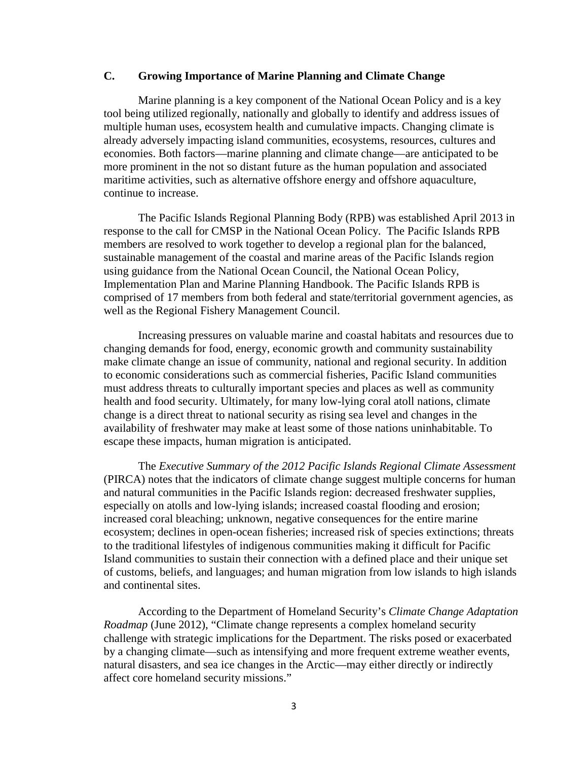### **C. Growing Importance of Marine Planning and Climate Change**

 Marine planning is a key component of the National Ocean Policy and is a key tool being utilized regionally, nationally and globally to identify and address issues of multiple human uses, ecosystem health and cumulative impacts. Changing climate is already adversely impacting island communities, ecosystems, resources, cultures and economies. Both factors—marine planning and climate change—are anticipated to be more prominent in the not so distant future as the human population and associated maritime activities, such as alternative offshore energy and offshore aquaculture, continue to increase.

 The Pacific Islands Regional Planning Body (RPB) was established April 2013 in response to the call for CMSP in the National Ocean Policy. The Pacific Islands RPB members are resolved to work together to develop a regional plan for the balanced, sustainable management of the coastal and marine areas of the Pacific Islands region using guidance from the National Ocean Council, the National Ocean Policy, Implementation Plan and Marine Planning Handbook. The Pacific Islands RPB is comprised of 17 members from both federal and state/territorial government agencies, as well as the Regional Fishery Management Council.

 Increasing pressures on valuable marine and coastal habitats and resources due to changing demands for food, energy, economic growth and community sustainability make climate change an issue of community, national and regional security. In addition to economic considerations such as commercial fisheries, Pacific Island communities must address threats to culturally important species and places as well as community health and food security. Ultimately, for many low-lying coral atoll nations, climate change is a direct threat to national security as rising sea level and changes in the availability of freshwater may make at least some of those nations uninhabitable. To escape these impacts, human migration is anticipated.

The *Executive Summary of the 2012 Pacific Islands Regional Climate Assessment*  (PIRCA) notes that the indicators of climate change suggest multiple concerns for human and natural communities in the Pacific Islands region: decreased freshwater supplies, especially on atolls and low-lying islands; increased coastal flooding and erosion; increased coral bleaching; unknown, negative consequences for the entire marine ecosystem; declines in open-ocean fisheries; increased risk of species extinctions; threats to the traditional lifestyles of indigenous communities making it difficult for Pacific Island communities to sustain their connection with a defined place and their unique set of customs, beliefs, and languages; and human migration from low islands to high islands and continental sites.

According to the Department of Homeland Security's *Climate Change Adaptation Roadmap* (June 2012), "Climate change represents a complex homeland security challenge with strategic implications for the Department. The risks posed or exacerbated by a changing climate—such as intensifying and more frequent extreme weather events, natural disasters, and sea ice changes in the Arctic—may either directly or indirectly affect core homeland security missions."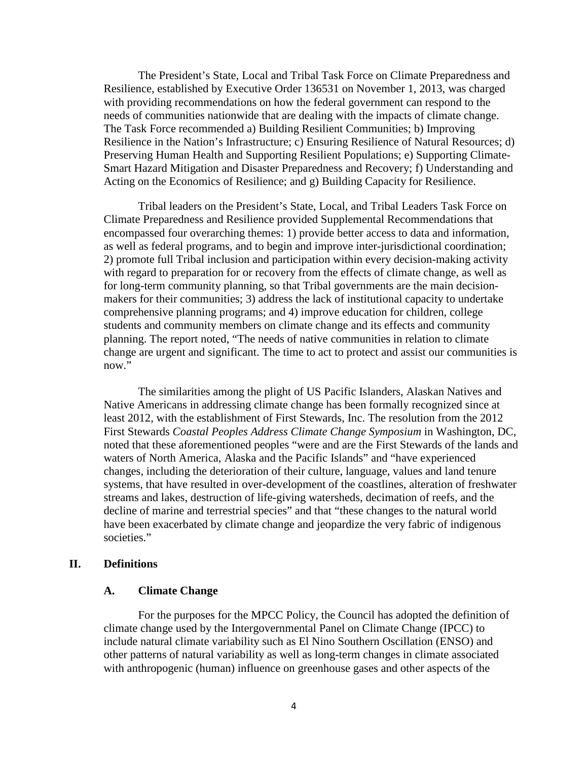The President's State, Local and Tribal Task Force on Climate Preparedness and Resilience, established by Executive Order 136531 on November 1, 2013, was charged with providing recommendations on how the federal government can respond to the needs of communities nationwide that are dealing with the impacts of climate change. The Task Force recommended a) Building Resilient Communities; b) Improving Resilience in the Nation's Infrastructure; c) Ensuring Resilience of Natural Resources; d) Preserving Human Health and Supporting Resilient Populations; e) Supporting Climate-Smart Hazard Mitigation and Disaster Preparedness and Recovery; f) Understanding and Acting on the Economics of Resilience; and g) Building Capacity for Resilience.

 Tribal leaders on the President's State, Local, and Tribal Leaders Task Force on Climate Preparedness and Resilience provided Supplemental Recommendations that encompassed four overarching themes: 1) provide better access to data and information, as well as federal programs, and to begin and improve inter-jurisdictional coordination; 2) promote full Tribal inclusion and participation within every decision-making activity with regard to preparation for or recovery from the effects of climate change, as well as for long-term community planning, so that Tribal governments are the main decisionmakers for their communities; 3) address the lack of institutional capacity to undertake comprehensive planning programs; and 4) improve education for children, college students and community members on climate change and its effects and community planning. The report noted, "The needs of native communities in relation to climate change are urgent and significant. The time to act to protect and assist our communities is now."

 The similarities among the plight of US Pacific Islanders, Alaskan Natives and Native Americans in addressing climate change has been formally recognized since at least 2012, with the establishment of First Stewards, Inc. The resolution from the 2012 First Stewards *Coastal Peoples Address Climate Change Symposium* in Washington, DC, noted that these aforementioned peoples "were and are the First Stewards of the lands and waters of North America, Alaska and the Pacific Islands" and "have experienced changes, including the deterioration of their culture, language, values and land tenure systems, that have resulted in over-development of the coastlines, alteration of freshwater streams and lakes, destruction of life-giving watersheds, decimation of reefs, and the decline of marine and terrestrial species" and that "these changes to the natural world have been exacerbated by climate change and jeopardize the very fabric of indigenous societies."

### **II. Definitions**

### **A. Climate Change**

For the purposes for the MPCC Policy, the Council has adopted the definition of climate change used by the Intergovernmental Panel on Climate Change (IPCC) to include natural climate variability such as El Nino Southern Oscillation (ENSO) and other patterns of natural variability as well as long-term changes in climate associated with anthropogenic (human) influence on greenhouse gases and other aspects of the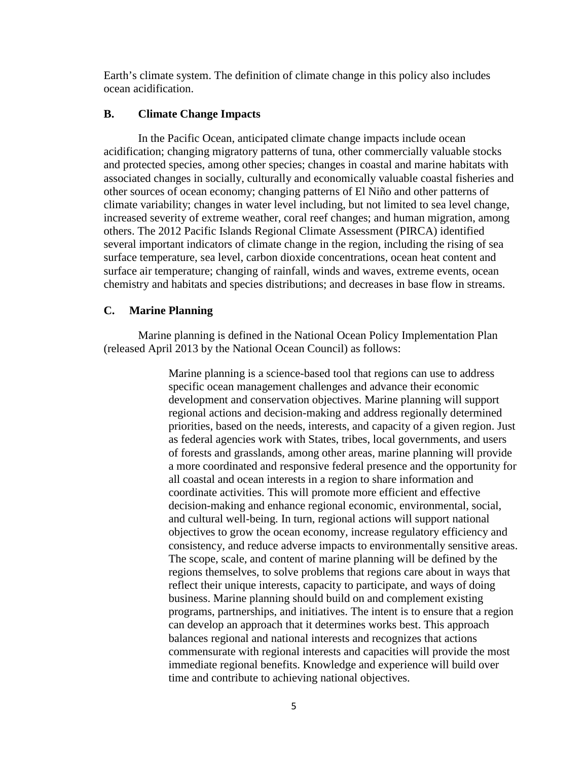Earth's climate system. The definition of climate change in this policy also includes ocean acidification.

### **B. Climate Change Impacts**

In the Pacific Ocean, anticipated climate change impacts include ocean acidification; changing migratory patterns of tuna, other commercially valuable stocks and protected species, among other species; changes in coastal and marine habitats with associated changes in socially, culturally and economically valuable coastal fisheries and other sources of ocean economy; changing patterns of El Niño and other patterns of climate variability; changes in water level including, but not limited to sea level change, increased severity of extreme weather, coral reef changes; and human migration, among others. The 2012 Pacific Islands Regional Climate Assessment (PIRCA) identified several important indicators of climate change in the region, including the rising of sea surface temperature, sea level, carbon dioxide concentrations, ocean heat content and surface air temperature; changing of rainfall, winds and waves, extreme events, ocean chemistry and habitats and species distributions; and decreases in base flow in streams.

#### **C. Marine Planning**

Marine planning is defined in the National Ocean Policy Implementation Plan (released April 2013 by the National Ocean Council) as follows:

> Marine planning is a science-based tool that regions can use to address specific ocean management challenges and advance their economic development and conservation objectives. Marine planning will support regional actions and decision-making and address regionally determined priorities, based on the needs, interests, and capacity of a given region. Just as federal agencies work with States, tribes, local governments, and users of forests and grasslands, among other areas, marine planning will provide a more coordinated and responsive federal presence and the opportunity for all coastal and ocean interests in a region to share information and coordinate activities. This will promote more efficient and effective decision-making and enhance regional economic, environmental, social, and cultural well-being. In turn, regional actions will support national objectives to grow the ocean economy, increase regulatory efficiency and consistency, and reduce adverse impacts to environmentally sensitive areas. The scope, scale, and content of marine planning will be defined by the regions themselves, to solve problems that regions care about in ways that reflect their unique interests, capacity to participate, and ways of doing business. Marine planning should build on and complement existing programs, partnerships, and initiatives. The intent is to ensure that a region can develop an approach that it determines works best. This approach balances regional and national interests and recognizes that actions commensurate with regional interests and capacities will provide the most immediate regional benefits. Knowledge and experience will build over time and contribute to achieving national objectives.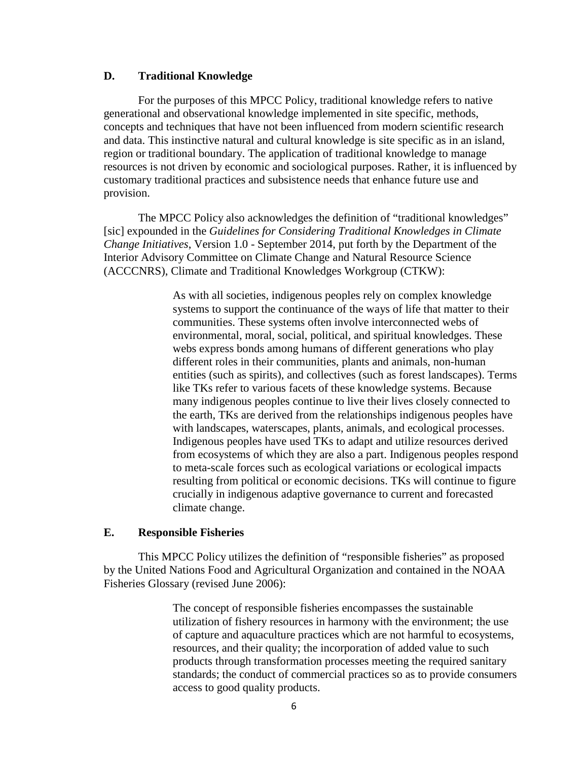### **D. Traditional Knowledge**

For the purposes of this MPCC Policy, traditional knowledge refers to native generational and observational knowledge implemented in site specific, methods, concepts and techniques that have not been influenced from modern scientific research and data. This instinctive natural and cultural knowledge is site specific as in an island, region or traditional boundary. The application of traditional knowledge to manage resources is not driven by economic and sociological purposes. Rather, it is influenced by customary traditional practices and subsistence needs that enhance future use and provision.

 The MPCC Policy also acknowledges the definition of "traditional knowledges" [sic] expounded in the *Guidelines for Considering Traditional Knowledges in Climate Change Initiatives*, Version 1.0 - September 2014, put forth by the Department of the Interior Advisory Committee on Climate Change and Natural Resource Science (ACCCNRS), Climate and Traditional Knowledges Workgroup (CTKW):

> As with all societies, indigenous peoples rely on complex knowledge systems to support the continuance of the ways of life that matter to their communities. These systems often involve interconnected webs of environmental, moral, social, political, and spiritual knowledges. These webs express bonds among humans of different generations who play different roles in their communities, plants and animals, non-human entities (such as spirits), and collectives (such as forest landscapes). Terms like TKs refer to various facets of these knowledge systems. Because many indigenous peoples continue to live their lives closely connected to the earth, TKs are derived from the relationships indigenous peoples have with landscapes, waterscapes, plants, animals, and ecological processes. Indigenous peoples have used TKs to adapt and utilize resources derived from ecosystems of which they are also a part. Indigenous peoples respond to meta-scale forces such as ecological variations or ecological impacts resulting from political or economic decisions. TKs will continue to figure crucially in indigenous adaptive governance to current and forecasted climate change.

### **E. Responsible Fisheries**

 This MPCC Policy utilizes the definition of "responsible fisheries" as proposed by the United Nations Food and Agricultural Organization and contained in the NOAA Fisheries Glossary (revised June 2006):

> The concept of responsible fisheries encompasses the sustainable utilization of fishery resources in harmony with the environment; the use of capture and aquaculture practices which are not harmful to ecosystems, resources, and their quality; the incorporation of added value to such products through transformation processes meeting the required sanitary standards; the conduct of commercial practices so as to provide consumers access to good quality products.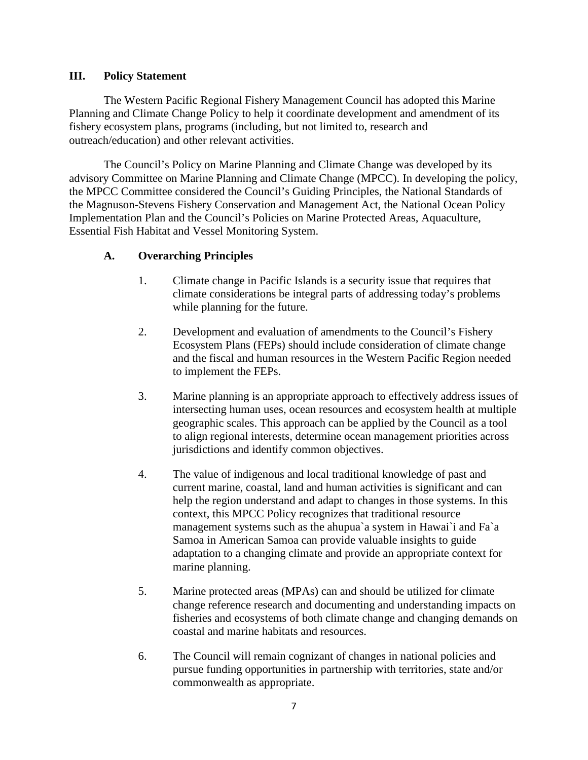# **III. Policy Statement**

 The Western Pacific Regional Fishery Management Council has adopted this Marine Planning and Climate Change Policy to help it coordinate development and amendment of its fishery ecosystem plans, programs (including, but not limited to, research and outreach/education) and other relevant activities.

The Council's Policy on Marine Planning and Climate Change was developed by its advisory Committee on Marine Planning and Climate Change (MPCC). In developing the policy, the MPCC Committee considered the Council's Guiding Principles, the National Standards of the Magnuson-Stevens Fishery Conservation and Management Act, the National Ocean Policy Implementation Plan and the Council's Policies on Marine Protected Areas, Aquaculture, Essential Fish Habitat and Vessel Monitoring System.

# **A. Overarching Principles**

- 1.Climate change in Pacific Islands is a security issue that requires that climate considerations be integral parts of addressing today's problems while planning for the future.
- 2. Development and evaluation of amendments to the Council's Fishery Ecosystem Plans (FEPs) should include consideration of climate change and the fiscal and human resources in the Western Pacific Region needed to implement the FEPs.
- 3. Marine planning is an appropriate approach to effectively address issues of intersecting human uses, ocean resources and ecosystem health at multiple geographic scales. This approach can be applied by the Council as a tool to align regional interests, determine ocean management priorities across jurisdictions and identify common objectives.
- 4. The value of indigenous and local traditional knowledge of past and current marine, coastal, land and human activities is significant and can help the region understand and adapt to changes in those systems. In this context, this MPCC Policy recognizes that traditional resource management systems such as the ahupua`a system in Hawai`i and Fa`a Samoa in American Samoa can provide valuable insights to guide adaptation to a changing climate and provide an appropriate context for marine planning.
- 5. Marine protected areas (MPAs) can and should be utilized for climate change reference research and documenting and understanding impacts on fisheries and ecosystems of both climate change and changing demands on coastal and marine habitats and resources.
- 6. The Council will remain cognizant of changes in national policies and pursue funding opportunities in partnership with territories, state and/or commonwealth as appropriate.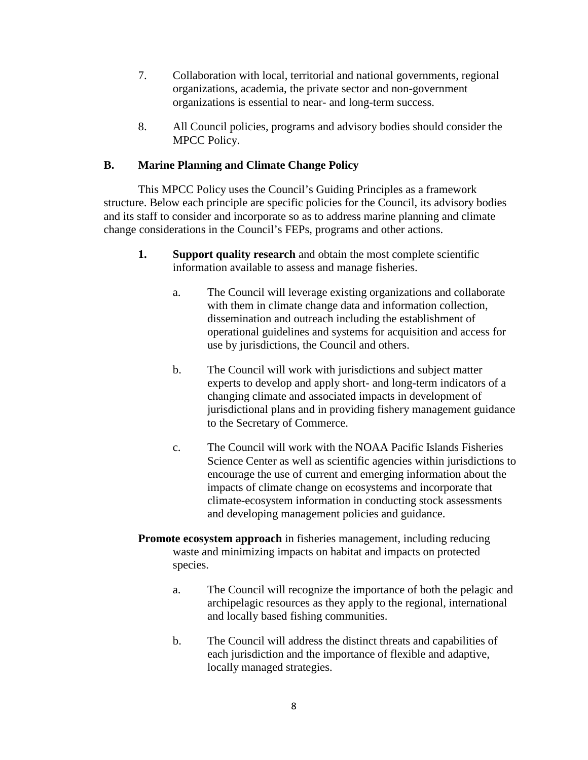- 7. Collaboration with local, territorial and national governments, regional organizations, academia, the private sector and non-government organizations is essential to near- and long-term success.
- 8. All Council policies, programs and advisory bodies should consider the MPCC Policy.

# **B. Marine Planning and Climate Change Policy**

 This MPCC Policy uses the Council's Guiding Principles as a framework structure. Below each principle are specific policies for the Council, its advisory bodies and its staff to consider and incorporate so as to address marine planning and climate change considerations in the Council's FEPs, programs and other actions.

- **1. Support quality research** and obtain the most complete scientific information available to assess and manage fisheries.
	- a. The Council will leverage existing organizations and collaborate with them in climate change data and information collection, dissemination and outreach including the establishment of operational guidelines and systems for acquisition and access for use by jurisdictions, the Council and others.
	- b. The Council will work with jurisdictions and subject matter experts to develop and apply short- and long-term indicators of a changing climate and associated impacts in development of jurisdictional plans and in providing fishery management guidance to the Secretary of Commerce.
	- c. The Council will work with the NOAA Pacific Islands Fisheries Science Center as well as scientific agencies within jurisdictions to encourage the use of current and emerging information about the impacts of climate change on ecosystems and incorporate that climate-ecosystem information in conducting stock assessments and developing management policies and guidance.
- **Promote ecosystem approach** in fisheries management, including reducing waste and minimizing impacts on habitat and impacts on protected species.
	- a. The Council will recognize the importance of both the pelagic and archipelagic resources as they apply to the regional, international and locally based fishing communities.
	- b. The Council will address the distinct threats and capabilities of each jurisdiction and the importance of flexible and adaptive, locally managed strategies.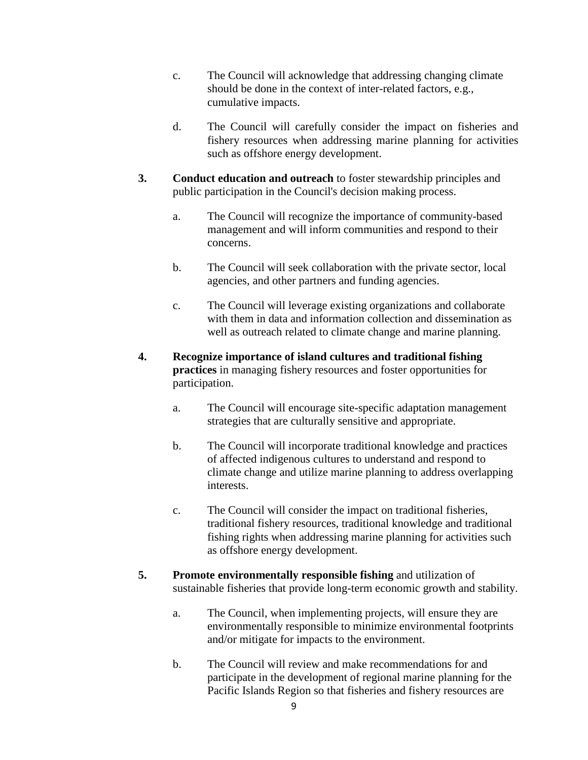- c. The Council will acknowledge that addressing changing climate should be done in the context of inter-related factors, e.g., cumulative impacts.
- d. The Council will carefully consider the impact on fisheries and fishery resources when addressing marine planning for activities such as offshore energy development.
- **3. Conduct education and outreach** to foster stewardship principles and public participation in the Council's decision making process.
	- a. The Council will recognize the importance of community-based management and will inform communities and respond to their concerns.
	- b. The Council will seek collaboration with the private sector, local agencies, and other partners and funding agencies.
	- c. The Council will leverage existing organizations and collaborate with them in data and information collection and dissemination as well as outreach related to climate change and marine planning.
- **4. Recognize importance of island cultures and traditional fishing practices** in managing fishery resources and foster opportunities for participation.
	- a. The Council will encourage site-specific adaptation management strategies that are culturally sensitive and appropriate.
	- b. The Council will incorporate traditional knowledge and practices of affected indigenous cultures to understand and respond to climate change and utilize marine planning to address overlapping interests.
	- c. The Council will consider the impact on traditional fisheries, traditional fishery resources, traditional knowledge and traditional fishing rights when addressing marine planning for activities such as offshore energy development.
- **5. Promote environmentally responsible fishing** and utilization of sustainable fisheries that provide long-term economic growth and stability.
	- a. The Council, when implementing projects, will ensure they are environmentally responsible to minimize environmental footprints and/or mitigate for impacts to the environment.
	- b. The Council will review and make recommendations for and participate in the development of regional marine planning for the Pacific Islands Region so that fisheries and fishery resources are